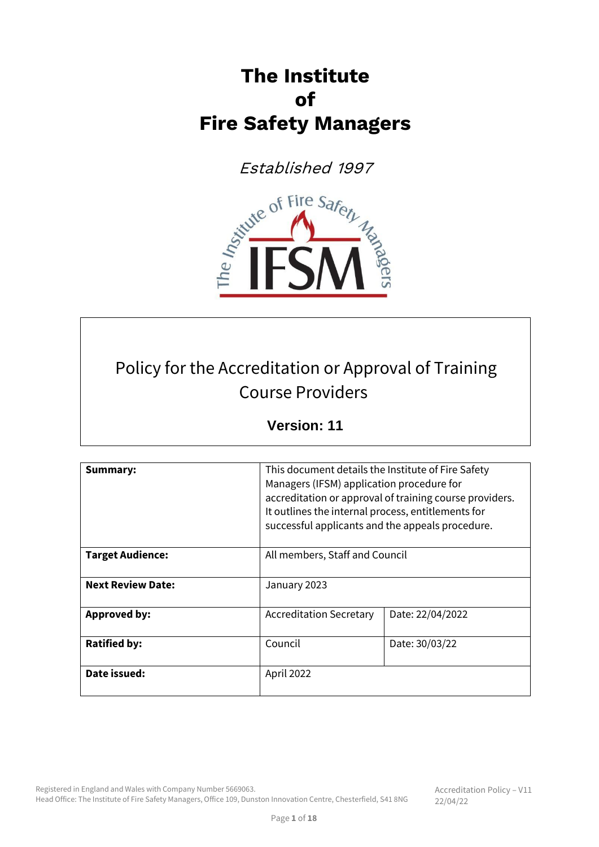# **The Institute of Fire Safety Managers**

Established 1997



# Policy for the Accreditation or Approval of Training Course Providers

# **Version: 11**

| Summary:                 | This document details the Institute of Fire Safety<br>Managers (IFSM) application procedure for<br>accreditation or approval of training course providers.<br>It outlines the internal process, entitlements for<br>successful applicants and the appeals procedure. |  |  |
|--------------------------|----------------------------------------------------------------------------------------------------------------------------------------------------------------------------------------------------------------------------------------------------------------------|--|--|
| <b>Target Audience:</b>  | All members, Staff and Council                                                                                                                                                                                                                                       |  |  |
| <b>Next Review Date:</b> | January 2023                                                                                                                                                                                                                                                         |  |  |
| <b>Approved by:</b>      | Date: 22/04/2022<br><b>Accreditation Secretary</b>                                                                                                                                                                                                                   |  |  |
| <b>Ratified by:</b>      | Council<br>Date: 30/03/22                                                                                                                                                                                                                                            |  |  |
| Date issued:             | April 2022                                                                                                                                                                                                                                                           |  |  |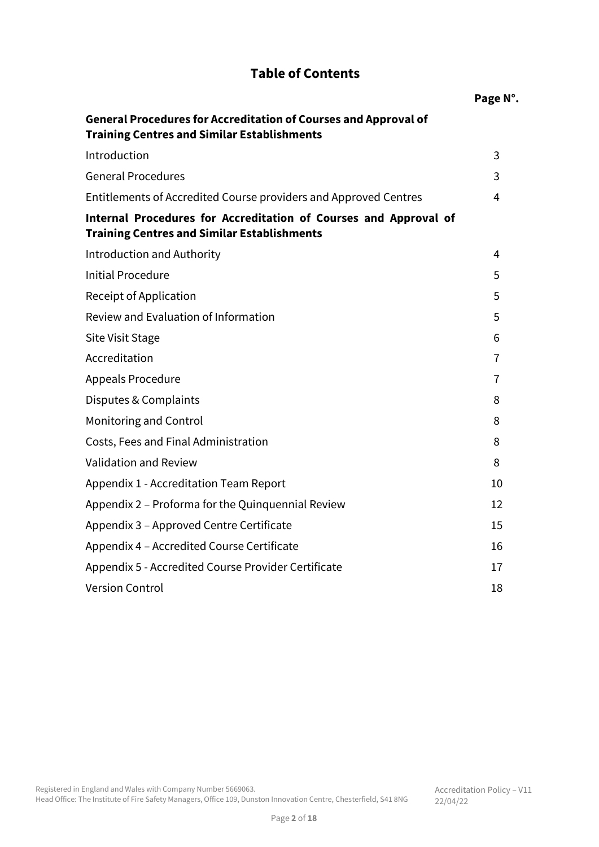# **Table of Contents**

|                                                                                                                              | Page N°. |
|------------------------------------------------------------------------------------------------------------------------------|----------|
| <b>General Procedures for Accreditation of Courses and Approval of</b><br><b>Training Centres and Similar Establishments</b> |          |
| Introduction                                                                                                                 | 3        |
| <b>General Procedures</b>                                                                                                    | 3        |
| Entitlements of Accredited Course providers and Approved Centres                                                             | 4        |
| Internal Procedures for Accreditation of Courses and Approval of<br><b>Training Centres and Similar Establishments</b>       |          |
| <b>Introduction and Authority</b>                                                                                            | 4        |
| <b>Initial Procedure</b>                                                                                                     | 5        |
| Receipt of Application                                                                                                       | 5        |
| Review and Evaluation of Information                                                                                         | 5        |
| Site Visit Stage                                                                                                             | 6        |
| Accreditation                                                                                                                | 7        |
| <b>Appeals Procedure</b>                                                                                                     | 7        |
| Disputes & Complaints                                                                                                        | 8        |
| Monitoring and Control                                                                                                       | 8        |
| Costs, Fees and Final Administration                                                                                         | 8        |
| Validation and Review                                                                                                        | 8        |
| Appendix 1 - Accreditation Team Report                                                                                       | 10       |
| Appendix 2 – Proforma for the Quinquennial Review                                                                            | 12       |
| Appendix 3 - Approved Centre Certificate                                                                                     | 15       |
| Appendix 4 - Accredited Course Certificate                                                                                   | 16       |
| Appendix 5 - Accredited Course Provider Certificate                                                                          | 17       |
| <b>Version Control</b>                                                                                                       | 18       |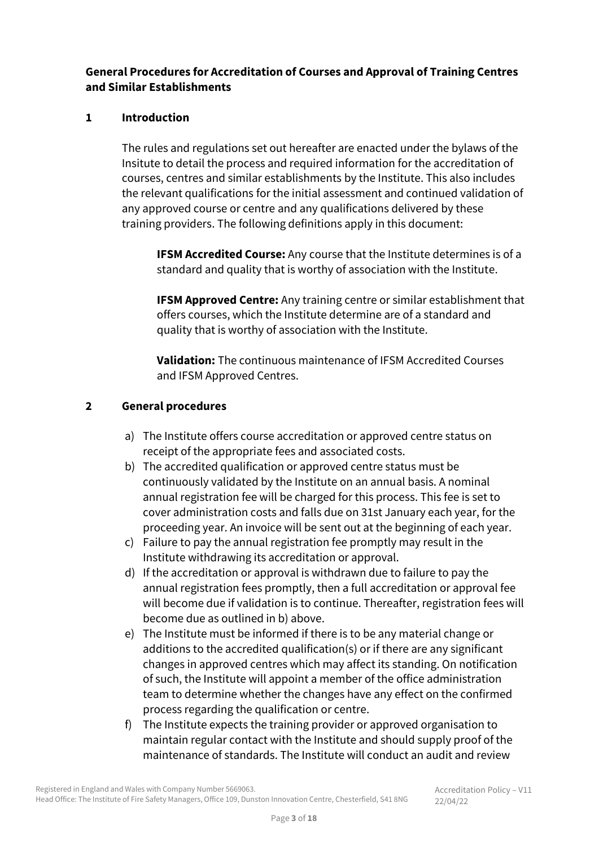## **General Procedures for Accreditation of Courses and Approval of Training Centres and Similar Establishments**

#### **1 Introduction**

The rules and regulations set out hereafter are enacted under the bylaws of the Insitute to detail the process and required information for the accreditation of courses, centres and similar establishments by the Institute. This also includes the relevant qualifications for the initial assessment and continued validation of any approved course or centre and any qualifications delivered by these training providers. The following definitions apply in this document:

**IFSM Accredited Course:** Any course that the Institute determines is of a standard and quality that is worthy of association with the Institute.

**IFSM Approved Centre:** Any training centre or similar establishment that offers courses, which the Institute determine are of a standard and quality that is worthy of association with the Institute.

**Validation:** The continuous maintenance of IFSM Accredited Courses and IFSM Approved Centres.

#### **2 General procedures**

- a) The Institute offers course accreditation or approved centre status on receipt of the appropriate fees and associated costs.
- b) The accredited qualification or approved centre status must be continuously validated by the Institute on an annual basis. A nominal annual registration fee will be charged for this process. This fee is set to cover administration costs and falls due on 31st January each year, for the proceeding year. An invoice will be sent out at the beginning of each year.
- c) Failure to pay the annual registration fee promptly may result in the Institute withdrawing its accreditation or approval.
- d) If the accreditation or approval is withdrawn due to failure to pay the annual registration fees promptly, then a full accreditation or approval fee will become due if validation is to continue. Thereafter, registration fees will become due as outlined in b) above.
- e) The Institute must be informed if there is to be any material change or additions to the accredited qualification(s) or if there are any significant changes in approved centres which may affect its standing. On notification of such, the Institute will appoint a member of the office administration team to determine whether the changes have any effect on the confirmed process regarding the qualification or centre.
- f) The Institute expects the training provider or approved organisation to maintain regular contact with the Institute and should supply proof of the maintenance of standards. The Institute will conduct an audit and review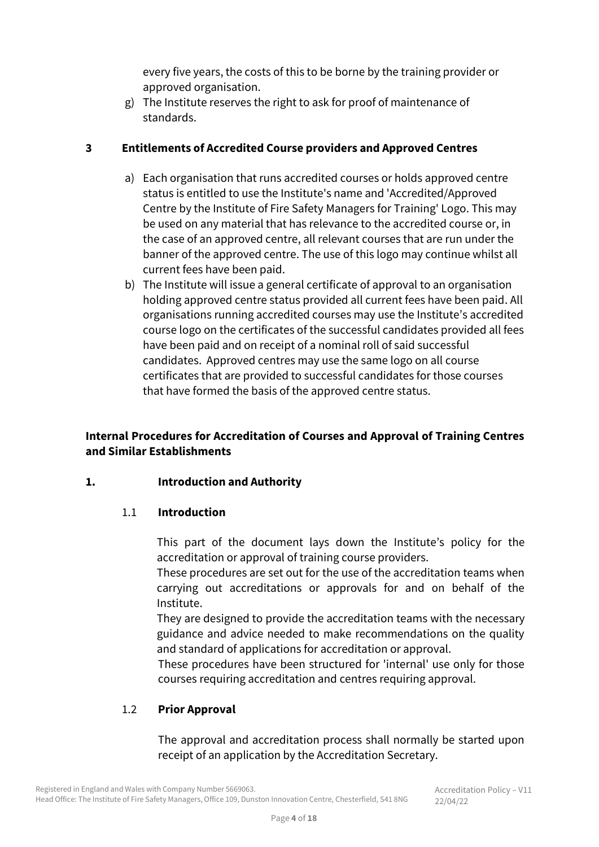every five years, the costs of this to be borne by the training provider or approved organisation.

g) The Institute reserves the right to ask for proof of maintenance of standards.

#### **3 Entitlements of Accredited Course providers and Approved Centres**

- a) Each organisation that runs accredited courses or holds approved centre status is entitled to use the Institute's name and 'Accredited/Approved Centre by the Institute of Fire Safety Managers for Training' Logo. This may be used on any material that has relevance to the accredited course or, in the case of an approved centre, all relevant courses that are run under the banner of the approved centre. The use of this logo may continue whilst all current fees have been paid.
- b) The Institute will issue a general certificate of approval to an organisation holding approved centre status provided all current fees have been paid. All organisations running accredited courses may use the Institute's accredited course logo on the certificates of the successful candidates provided all fees have been paid and on receipt of a nominal roll of said successful candidates. Approved centres may use the same logo on all course certificates that are provided to successful candidates for those courses that have formed the basis of the approved centre status.

## **Internal Procedures for Accreditation of Courses and Approval of Training Centres and Similar Establishments**

## **1. Introduction and Authority**

## 1.1 **Introduction**

This part of the document lays down the Institute's policy for the accreditation or approval of training course providers.

These procedures are set out for the use of the accreditation teams when carrying out accreditations or approvals for and on behalf of the Institute.

They are designed to provide the accreditation teams with the necessary guidance and advice needed to make recommendations on the quality and standard of applications for accreditation or approval.

These procedures have been structured for 'internal' use only for those courses requiring accreditation and centres requiring approval.

## 1.2 **Prior Approval**

The approval and accreditation process shall normally be started upon receipt of an application by the Accreditation Secretary.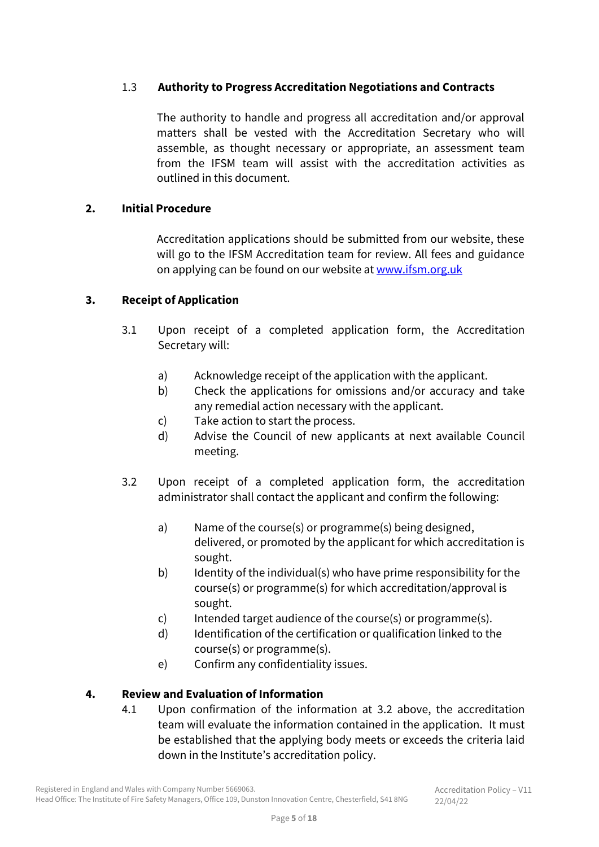## 1.3 **Authority to Progress Accreditation Negotiations and Contracts**

The authority to handle and progress all accreditation and/or approval matters shall be vested with the Accreditation Secretary who will assemble, as thought necessary or appropriate, an assessment team from the IFSM team will assist with the accreditation activities as outlined in this document.

#### **2. Initial Procedure**

Accreditation applications should be submitted from our website, these will go to the IFSM Accreditation team for review. All fees and guidance on applying can be found on our website at [www.ifsm.org.uk](http://www.ifsm.org.uk/)

#### **3. Receipt of Application**

- 3.1 Upon receipt of a completed application form, the Accreditation Secretary will:
	- a) Acknowledge receipt of the application with the applicant.
	- b) Check the applications for omissions and/or accuracy and take any remedial action necessary with the applicant.
	- c) Take action to start the process.
	- d) Advise the Council of new applicants at next available Council meeting.
- 3.2 Upon receipt of a completed application form, the accreditation administrator shall contact the applicant and confirm the following:
	- a) Name of the course(s) or programme(s) being designed, delivered, or promoted by the applicant for which accreditation is sought.
	- b) Identity of the individual(s) who have prime responsibility for the course(s) or programme(s) for which accreditation/approval is sought.
	- c) Intended target audience of the course(s) or programme(s).
	- d) Identification of the certification or qualification linked to the course(s) or programme(s).
	- e) Confirm any confidentiality issues.

## **4. Review and Evaluation of Information**

4.1 Upon confirmation of the information at 3.2 above, the accreditation team will evaluate the information contained in the application. It must be established that the applying body meets or exceeds the criteria laid down in the Institute's accreditation policy.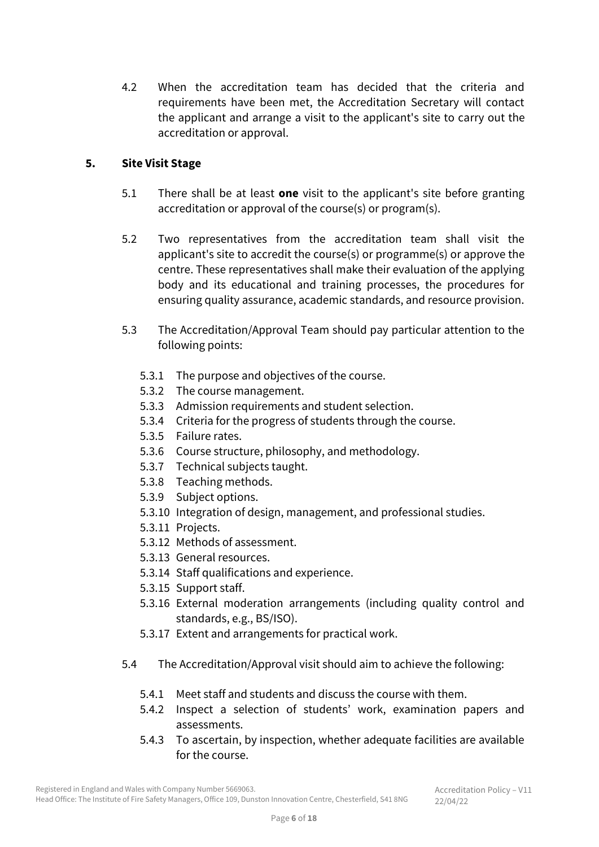4.2 When the accreditation team has decided that the criteria and requirements have been met, the Accreditation Secretary will contact the applicant and arrange a visit to the applicant's site to carry out the accreditation or approval.

#### **5. Site Visit Stage**

- 5.1 There shall be at least **one** visit to the applicant's site before granting accreditation or approval of the course(s) or program(s).
- 5.2 Two representatives from the accreditation team shall visit the applicant's site to accredit the course(s) or programme(s) or approve the centre. These representatives shall make their evaluation of the applying body and its educational and training processes, the procedures for ensuring quality assurance, academic standards, and resource provision.
- 5.3 The Accreditation/Approval Team should pay particular attention to the following points:
	- 5.3.1 The purpose and objectives of the course.
	- 5.3.2 The course management.
	- 5.3.3 Admission requirements and student selection.
	- 5.3.4 Criteria for the progress of students through the course.
	- 5.3.5 Failure rates.
	- 5.3.6 Course structure, philosophy, and methodology.
	- 5.3.7 Technical subjects taught.
	- 5.3.8 Teaching methods.
	- 5.3.9 Subject options.
	- 5.3.10 Integration of design, management, and professional studies.
	- 5.3.11 Projects.
	- 5.3.12 Methods of assessment.
	- 5.3.13 General resources.
	- 5.3.14 Staff qualifications and experience.
	- 5.3.15 Support staff.
	- 5.3.16 External moderation arrangements (including quality control and standards, e.g., BS/ISO).
	- 5.3.17 Extent and arrangements for practical work.
- 5.4 The Accreditation/Approval visit should aim to achieve the following:
	- 5.4.1 Meet staff and students and discuss the course with them.
	- 5.4.2 Inspect a selection of students' work, examination papers and assessments.
	- 5.4.3 To ascertain, by inspection, whether adequate facilities are available for the course.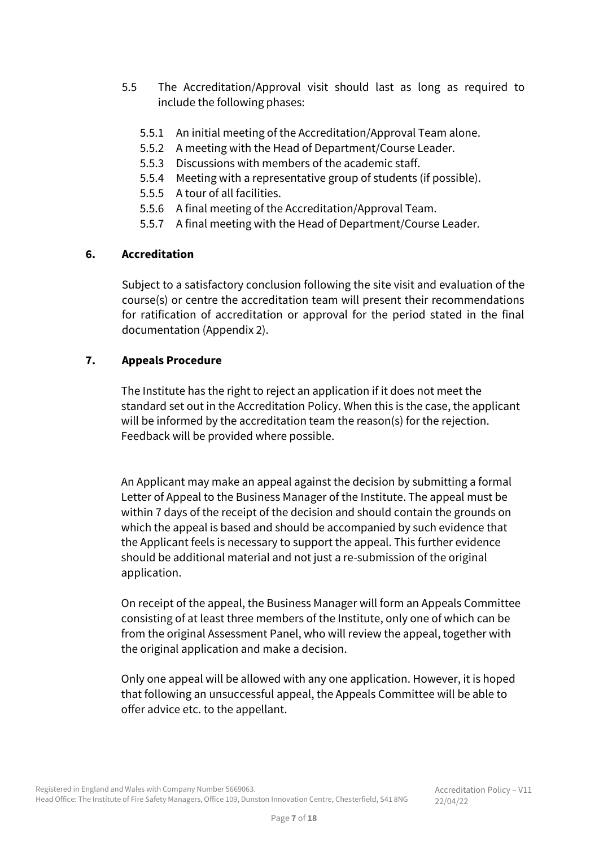- 5.5 The Accreditation/Approval visit should last as long as required to include the following phases:
	- 5.5.1 An initial meeting of the Accreditation/Approval Team alone.
	- 5.5.2 A meeting with the Head of Department/Course Leader.
	- 5.5.3 Discussions with members of the academic staff.
	- 5.5.4 Meeting with a representative group of students (if possible).
	- 5.5.5 A tour of all facilities.
	- 5.5.6 A final meeting of the Accreditation/Approval Team.
	- 5.5.7 A final meeting with the Head of Department/Course Leader.

#### **6. Accreditation**

Subject to a satisfactory conclusion following the site visit and evaluation of the course(s) or centre the accreditation team will present their recommendations for ratification of accreditation or approval for the period stated in the final documentation (Appendix 2).

#### **7. Appeals Procedure**

The Institute has the right to reject an application if it does not meet the standard set out in the Accreditation Policy. When this is the case, the applicant will be informed by the accreditation team the reason(s) for the rejection. Feedback will be provided where possible.

An Applicant may make an appeal against the decision by submitting a formal Letter of Appeal to the Business Manager of the Institute. The appeal must be within 7 days of the receipt of the decision and should contain the grounds on which the appeal is based and should be accompanied by such evidence that the Applicant feels is necessary to support the appeal. This further evidence should be additional material and not just a re-submission of the original application.

On receipt of the appeal, the Business Manager will form an Appeals Committee consisting of at least three members of the Institute, only one of which can be from the original Assessment Panel, who will review the appeal, together with the original application and make a decision.

Only one appeal will be allowed with any one application. However, it is hoped that following an unsuccessful appeal, the Appeals Committee will be able to offer advice etc. to the appellant.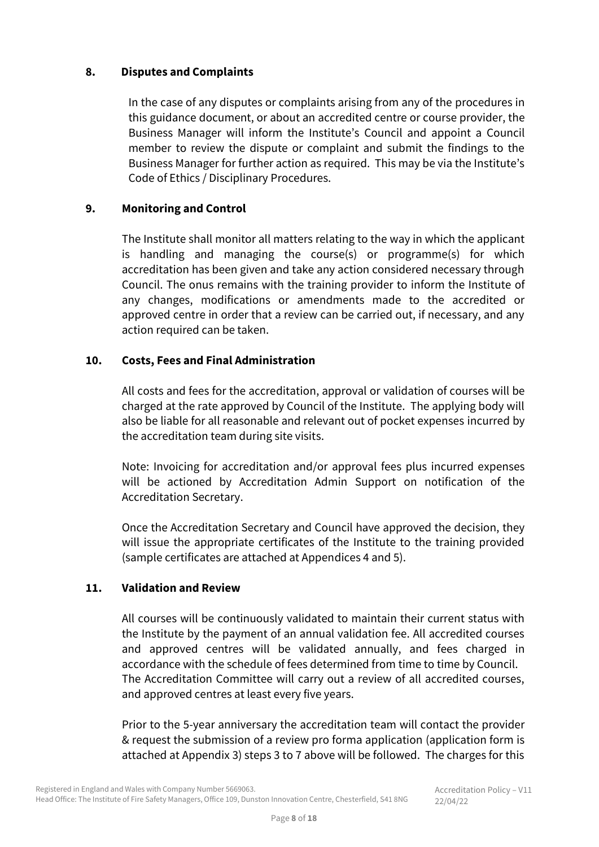#### **8. Disputes and Complaints**

In the case of any disputes or complaints arising from any of the procedures in this guidance document, or about an accredited centre or course provider, the Business Manager will inform the Institute's Council and appoint a Council member to review the dispute or complaint and submit the findings to the Business Manager for further action as required. This may be via the Institute's Code of Ethics / Disciplinary Procedures.

### **9. Monitoring and Control**

The Institute shall monitor all matters relating to the way in which the applicant is handling and managing the course(s) or programme(s) for which accreditation has been given and take any action considered necessary through Council. The onus remains with the training provider to inform the Institute of any changes, modifications or amendments made to the accredited or approved centre in order that a review can be carried out, if necessary, and any action required can be taken.

#### **10. Costs, Fees and Final Administration**

All costs and fees for the accreditation, approval or validation of courses will be charged at the rate approved by Council of the Institute. The applying body will also be liable for all reasonable and relevant out of pocket expenses incurred by the accreditation team during site visits.

Note: Invoicing for accreditation and/or approval fees plus incurred expenses will be actioned by Accreditation Admin Support on notification of the Accreditation Secretary.

Once the Accreditation Secretary and Council have approved the decision, they will issue the appropriate certificates of the Institute to the training provided (sample certificates are attached at Appendices 4 and 5).

## **11. Validation and Review**

All courses will be continuously validated to maintain their current status with the Institute by the payment of an annual validation fee. All accredited courses and approved centres will be validated annually, and fees charged in accordance with the schedule of fees determined from time to time by Council. The Accreditation Committee will carry out a review of all accredited courses, and approved centres at least every five years.

Prior to the 5-year anniversary the accreditation team will contact the provider & request the submission of a review pro forma application (application form is attached at Appendix 3) steps 3 to 7 above will be followed. The charges for this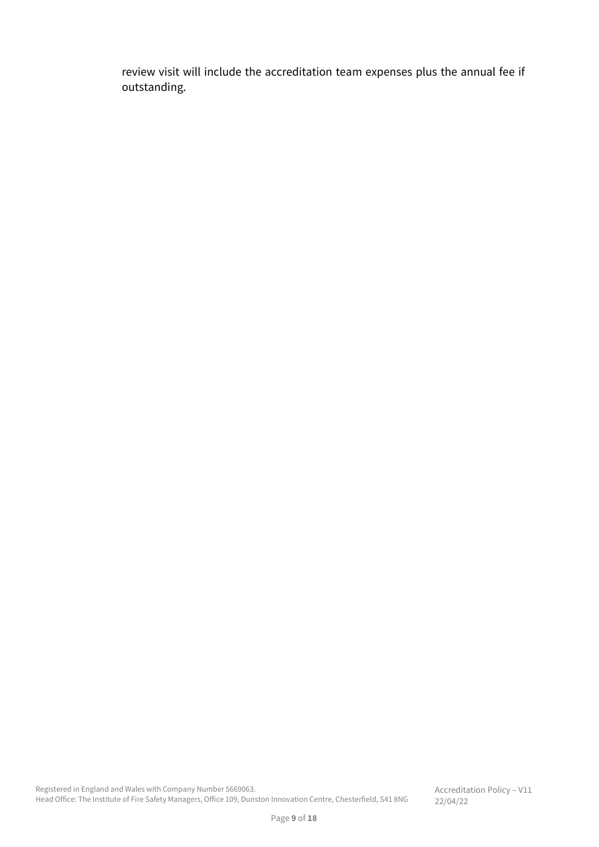review visit will include the accreditation team expenses plus the annual fee if outstanding.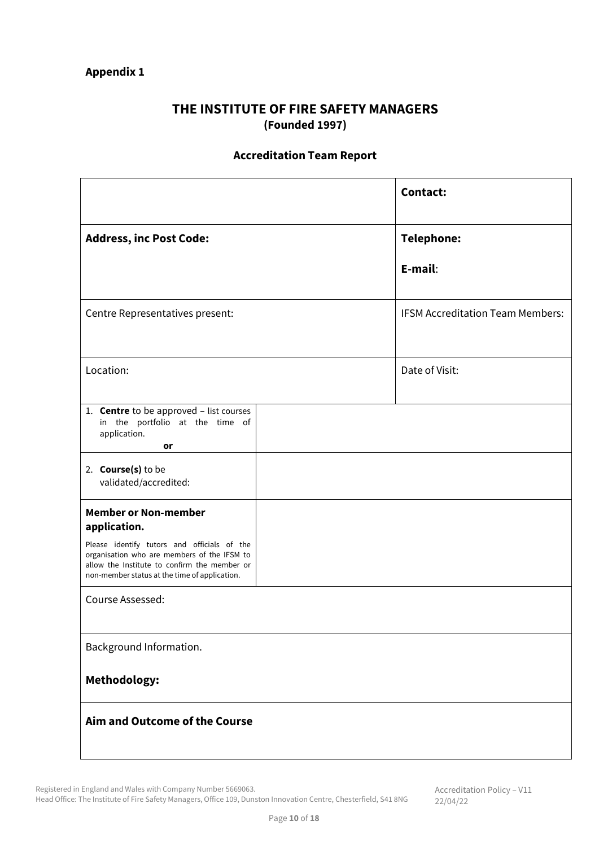## **THE INSTITUTE OF FIRE SAFETY MANAGERS (Founded 1997)**

## **Accreditation Team Report**

|                                                                                                                                                                                             | <b>Contact:</b>                         |
|---------------------------------------------------------------------------------------------------------------------------------------------------------------------------------------------|-----------------------------------------|
| <b>Address, inc Post Code:</b>                                                                                                                                                              | Telephone:                              |
|                                                                                                                                                                                             | E-mail:                                 |
| Centre Representatives present:                                                                                                                                                             | <b>IFSM Accreditation Team Members:</b> |
| Location:                                                                                                                                                                                   | Date of Visit:                          |
| 1. <b>Centre</b> to be approved - list courses<br>in the portfolio at the time of<br>application.<br>or                                                                                     |                                         |
| 2. <b>Course(s)</b> to be<br>validated/accredited:                                                                                                                                          |                                         |
| <b>Member or Non-member</b><br>application.                                                                                                                                                 |                                         |
| Please identify tutors and officials of the<br>organisation who are members of the IFSM to<br>allow the Institute to confirm the member or<br>non-member status at the time of application. |                                         |
| Course Assessed:                                                                                                                                                                            |                                         |
| Background Information.                                                                                                                                                                     |                                         |
| Methodology:                                                                                                                                                                                |                                         |
| Aim and Outcome of the Course                                                                                                                                                               |                                         |

Registered in England and Wales with Company Number 5669063.

Head Office: The Institute of Fire Safety Managers, Office 109, Dunston Innovation Centre, Chesterfield, S41 8NG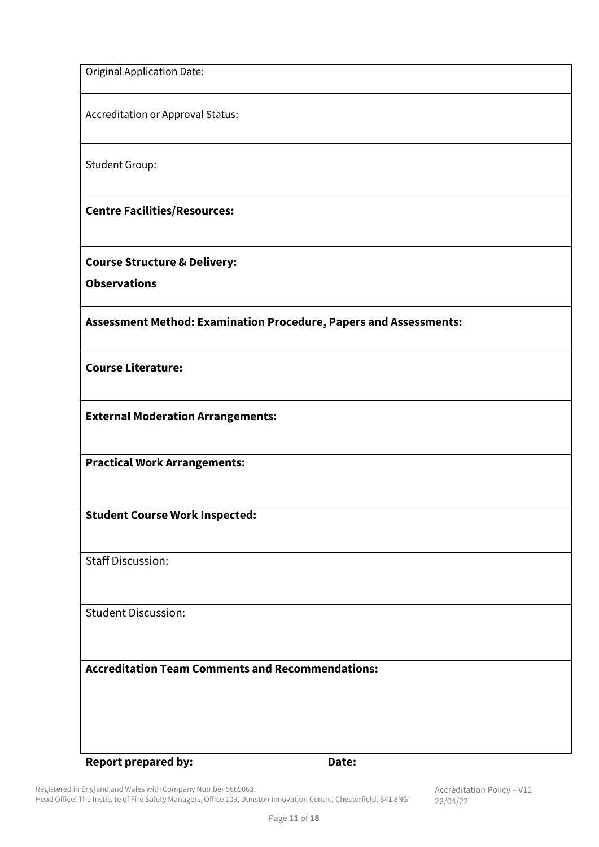Original Application Date:

Accreditation or Approval Status:

Student Group:

**Centre Facilities/Resources:**

**Course Structure & Delivery:**

**Observations**

**Assessment Method: Examination Procedure, Papers and Assessments:**

**Course Literature:**

**External Moderation Arrangements:**

**Practical Work Arrangements:**

**Student Course Work Inspected:**

Staff Discussion:

Student Discussion:

**Accreditation Team Comments and Recommendations:**

#### **Report prepared by: Date:**

Registered in England and Wales with Company Number 5669063. Head Office: The Institute of Fire Safety Managers, Office 109, Dunston Innovation Centre, Chesterfield, S41 8NG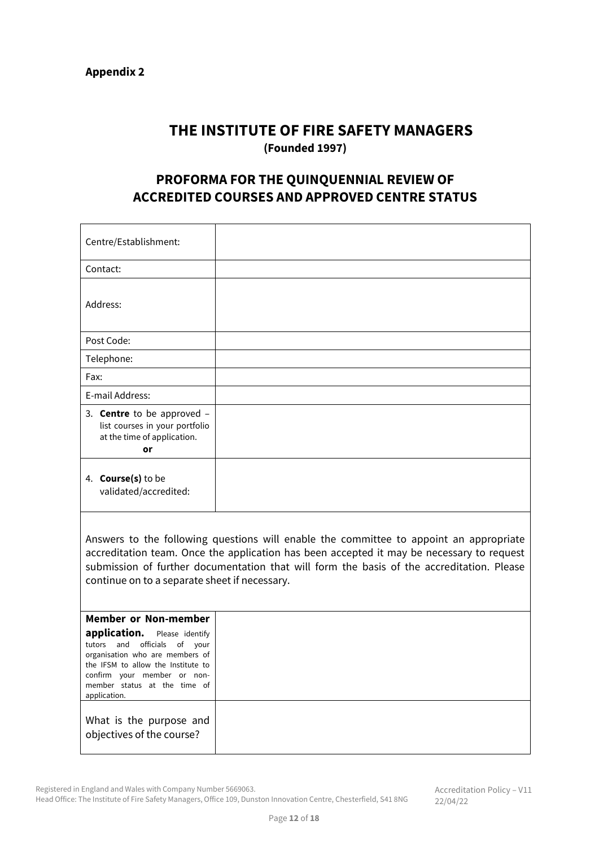# **THE INSTITUTE OF FIRE SAFETY MANAGERS (Founded 1997)**

# **PROFORMA FOR THE QUINQUENNIAL REVIEW OF ACCREDITED COURSES AND APPROVED CENTRE STATUS**

| Answers to the following questions will enable the committee to appoint an appropriate<br>accreditation team. Once the application has been accepted it may be necessary to request<br>submission of further documentation that will form the basis of the accreditation. Please<br>continue on to a separate sheet if necessary. |  |  |
|-----------------------------------------------------------------------------------------------------------------------------------------------------------------------------------------------------------------------------------------------------------------------------------------------------------------------------------|--|--|
|                                                                                                                                                                                                                                                                                                                                   |  |  |
|                                                                                                                                                                                                                                                                                                                                   |  |  |

What is the purpose and objectives of the course?

Registered in England and Wales with Company Number 5669063.

Head Office: The Institute of Fire Safety Managers, Office 109, Dunston Innovation Centre, Chesterfield, S41 8NG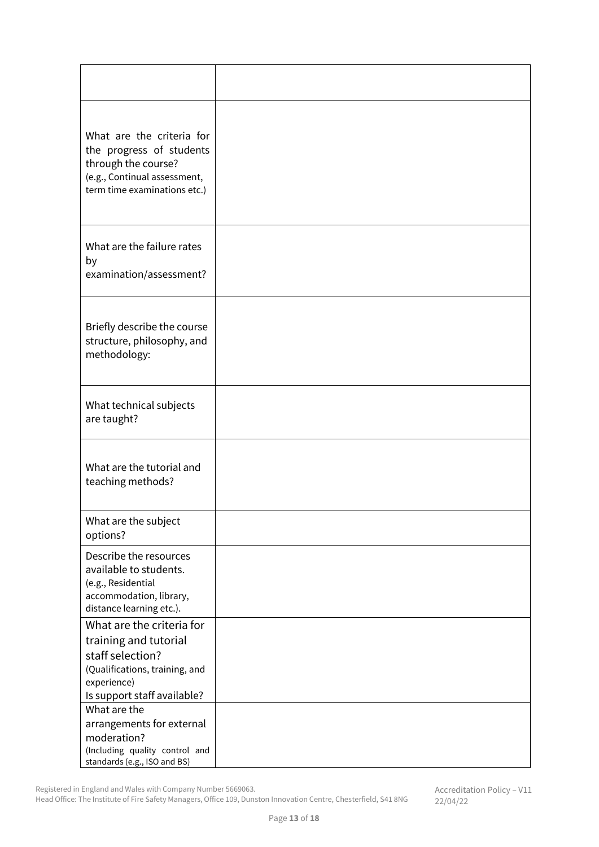| What are the criteria for<br>the progress of students<br>through the course?<br>(e.g., Continual assessment,<br>term time examinations etc.)           |  |
|--------------------------------------------------------------------------------------------------------------------------------------------------------|--|
| What are the failure rates<br>by<br>examination/assessment?                                                                                            |  |
| Briefly describe the course<br>structure, philosophy, and<br>methodology:                                                                              |  |
| What technical subjects<br>are taught?                                                                                                                 |  |
| What are the tutorial and<br>teaching methods?                                                                                                         |  |
| What are the subject<br>options?                                                                                                                       |  |
| Describe the resources<br>available to students.<br>(e.g., Residential<br>accommodation, library,<br>distance learning etc.).                          |  |
| What are the criteria for<br>training and tutorial<br>staff selection?<br>(Qualifications, training, and<br>experience)<br>Is support staff available? |  |
| What are the<br>arrangements for external<br>moderation?<br>(Including quality control and<br>standards (e.g., ISO and BS)                             |  |

Registered in England and Wales with Company Number 5669063.

Head Office: The Institute of Fire Safety Managers, Office 109, Dunston Innovation Centre, Chesterfield, S41 8NG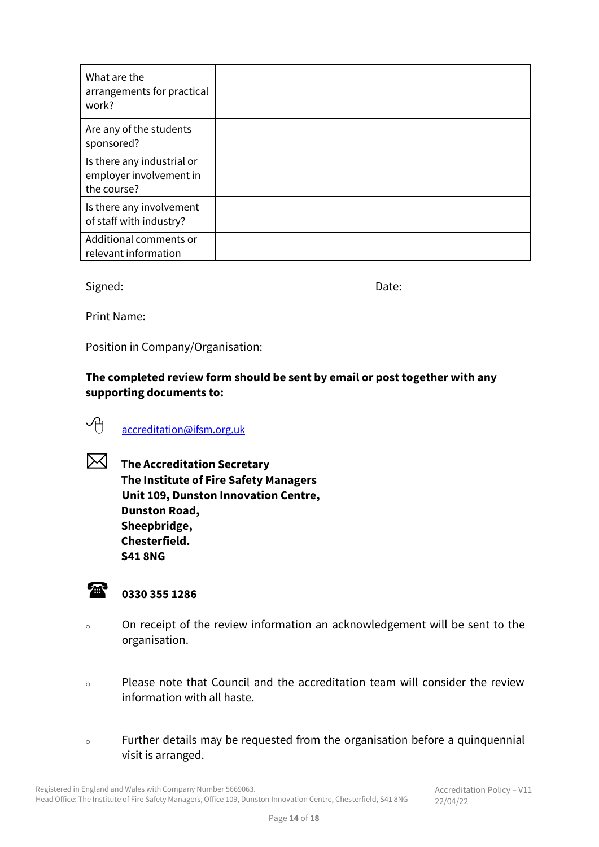| What are the<br>arrangements for practical<br>work?                  |  |
|----------------------------------------------------------------------|--|
| Are any of the students<br>sponsored?                                |  |
| Is there any industrial or<br>employer involvement in<br>the course? |  |
| Is there any involvement<br>of staff with industry?                  |  |
| Additional comments or<br>relevant information                       |  |

Signed: Date:

Print Name:

Position in Company/Organisation:

**The completed review form should be sent by email or post together with any supporting documents to:**

# **A** [accreditation@ifsm.org.uk](mailto:accreditation@ifsm.org.uk)

 **The Accreditation Secretary The Institute of Fire Safety Managers Unit 109, Dunston Innovation Centre, Dunston Road, Sheepbridge, Chesterfield. S41 8NG**

# **0330 355 1286**

- <sup>o</sup> On receipt of the review information an acknowledgement will be sent to the organisation.
- <sup>o</sup> Please note that Council and the accreditation team will consider the review information with all haste.
- <sup>o</sup> Further details may be requested from the organisation before a quinquennial visit is arranged.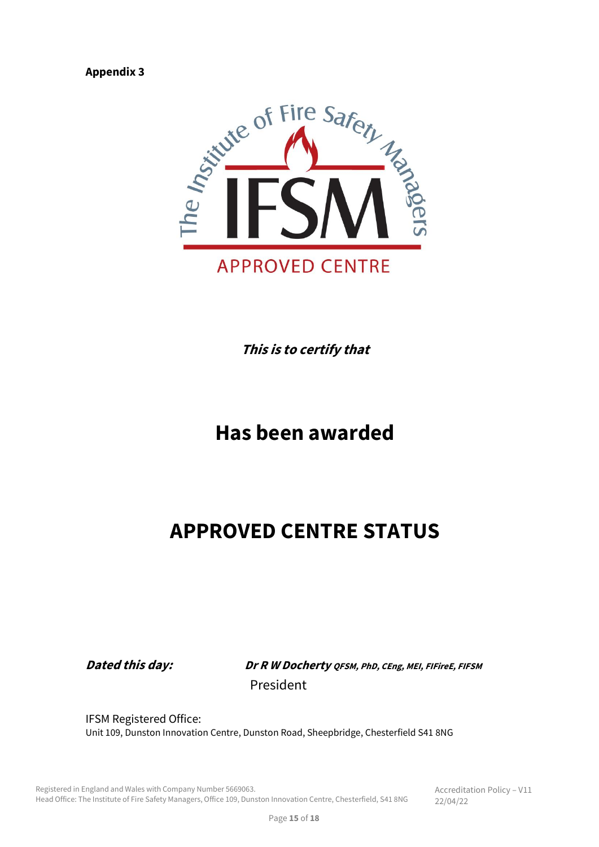

**This is to certify that**

# **Has been awarded**

# **APPROVED CENTRE STATUS**

**Dated this day: Dr R W Docherty QFSM, PhD, CEng, MEI, FIFireE, FIFSM** President

IFSM Registered Office: Unit 109, Dunston Innovation Centre, Dunston Road, Sheepbridge, Chesterfield S41 8NG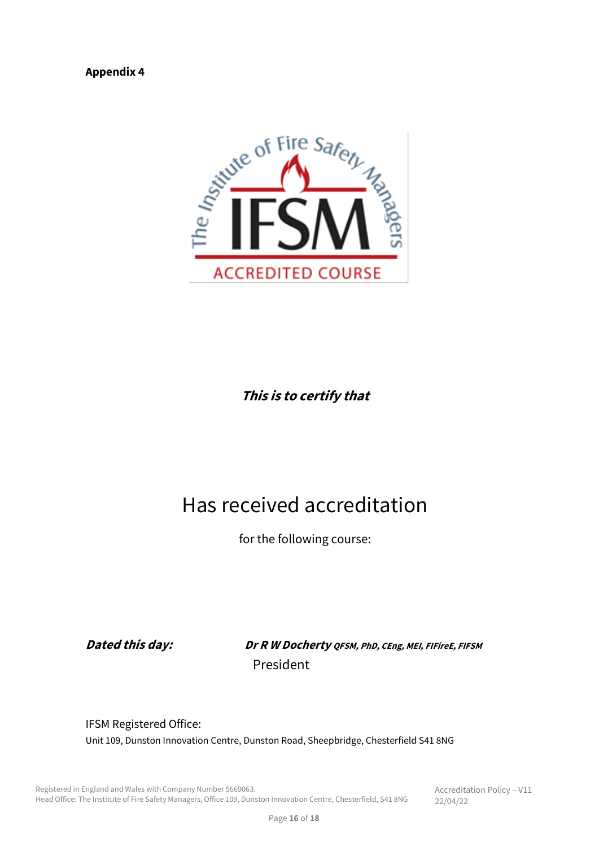

**This is to certify that**

# Has received accreditation

for the following course:

**Dated this day: Dr R W Docherty QFSM, PhD, CEng, MEI, FIFireE, FIFSM** President

IFSM Registered Office: Unit 109, Dunston Innovation Centre, Dunston Road, Sheepbridge, Chesterfield S41 8NG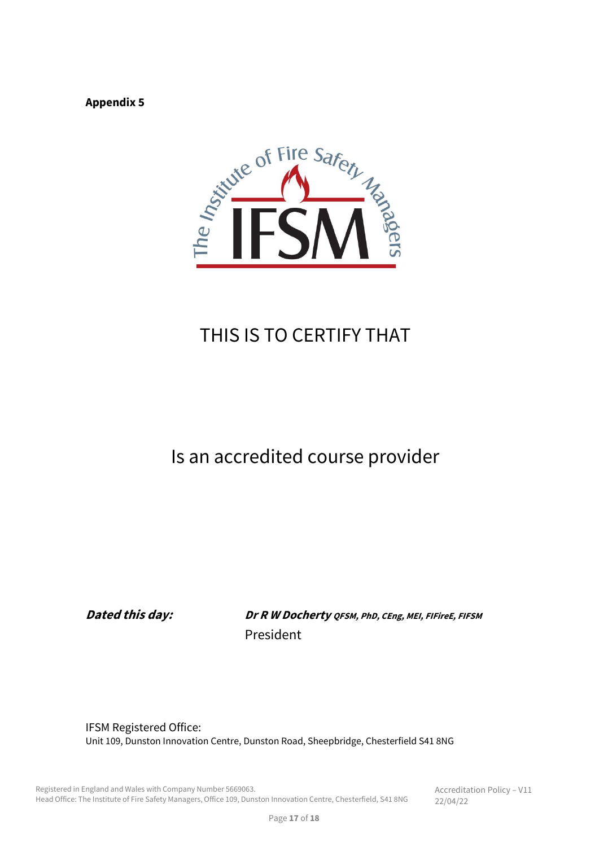

# THIS IS TO CERTIFY THAT

# Is an accredited course provider

**Dated this day: Dr R W Docherty QFSM, PhD, CEng, MEI, FIFireE, FIFSM** President

IFSM Registered Office: Unit 109, Dunston Innovation Centre, Dunston Road, Sheepbridge, Chesterfield S41 8NG